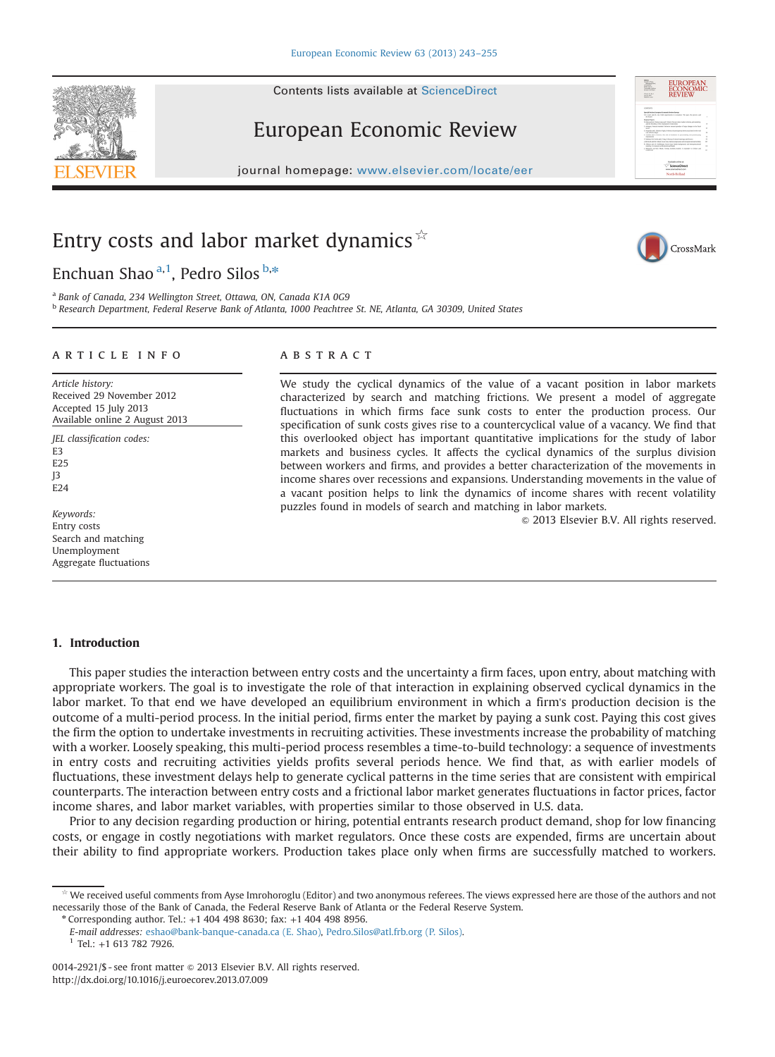## European Economic Review

journal homepage: <www.elsevier.com/locate/eer>

## Entry costs and labor market dynamics  $\hat{X}$

Enchuan Shao <sup>a,1</sup>, Pedro Silos <sup>b,\*</sup>

a Bank of Canada, 234 Wellington Street, Ottawa, ON, Canada K1A 0G9

#### article info

Article history: Received 29 November 2012 Accepted 15 July 2013 Available online 2 August 2013

JEL classification codes: E3 E25 J3  $F24$ 

Keywords: Entry costs Search and matching Unemployment Aggregate fluctuations

## **ABSTRACT**

We study the cyclical dynamics of the value of a vacant position in labor markets characterized by search and matching frictions. We present a model of aggregate fluctuations in which firms face sunk costs to enter the production process. Our specification of sunk costs gives rise to a countercyclical value of a vacancy. We find that this overlooked object has important quantitative implications for the study of labor markets and business cycles. It affects the cyclical dynamics of the surplus division between workers and firms, and provides a better characterization of the movements in income shares over recessions and expansions. Understanding movements in the value of a vacant position helps to link the dynamics of income shares with recent volatility puzzles found in models of search and matching in labor markets.

 $©$  2013 Elsevier B.V. All rights reserved.

### 1. Introduction

This paper studies the interaction between entry costs and the uncertainty a firm faces, upon entry, about matching with appropriate workers. The goal is to investigate the role of that interaction in explaining observed cyclical dynamics in the labor market. To that end we have developed an equilibrium environment in which a firm's production decision is the outcome of a multi-period process. In the initial period, firms enter the market by paying a sunk cost. Paying this cost gives the firm the option to undertake investments in recruiting activities. These investments increase the probability of matching with a worker. Loosely speaking, this multi-period process resembles a time-to-build technology: a sequence of investments in entry costs and recruiting activities yields profits several periods hence. We find that, as with earlier models of fluctuations, these investment delays help to generate cyclical patterns in the time series that are consistent with empirical counterparts. The interaction between entry costs and a frictional labor market generates fluctuations in factor prices, factor income shares, and labor market variables, with properties similar to those observed in U.S. data.

Prior to any decision regarding production or hiring, potential entrants research product demand, shop for low financing costs, or engage in costly negotiations with market regulators. Once these costs are expended, firms are uncertain about their ability to find appropriate workers. Production takes place only when firms are successfully matched to workers.

 $*$  Corresponding author. Tel.:  $+1$  404 498 8630; fax:  $+1$  404 498 8956.

E-mail addresses: [eshao@bank-banque-canada.ca \(E. Shao\),](mailto:eshao@bank-banque-canada.ca) [Pedro.Silos@atl.frb.org \(P. Silos\).](mailto:Pedro.Silos@atl.frb.org)  $1$  Tel.: +1 613 782 7926.

<sup>b</sup> Research Department, Federal Reserve Bank of Atlanta, 1000 Peachtree St. NE, Atlanta, GA 30309, United States

<span id="page-0-0"></span>



EUROPEAN<br>ECONOMIC

We received useful comments from Ayse Imrohoroglu (Editor) and two anonymous referees. The views expressed here are those of the authors and not necessarily those of the Bank of Canada, the Federal Reserve Bank of Atlanta or the Federal Reserve System.

<sup>0014-2921/\$ -</sup> see front matter  $\circ$  2013 Elsevier B.V. All rights reserved. <http://dx.doi.org/10.1016/j.euroecorev.2013.07.009>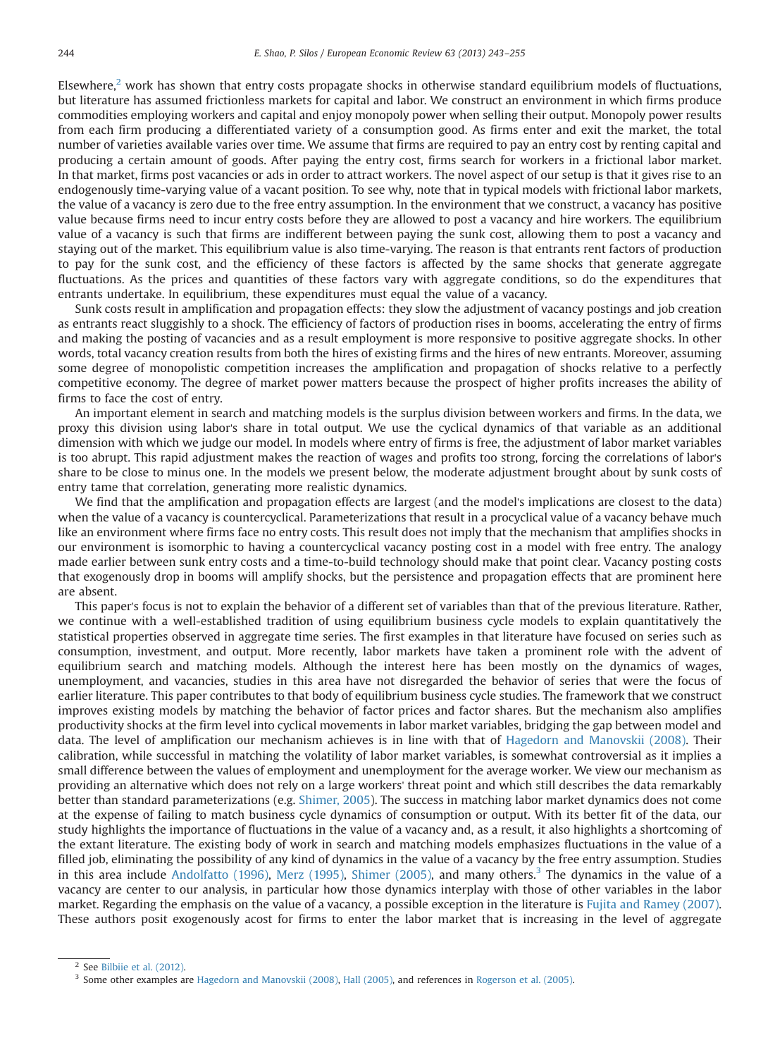Elsewhere, $2$  work has shown that entry costs propagate shocks in otherwise standard equilibrium models of fluctuations, but literature has assumed frictionless markets for capital and labor. We construct an environment in which firms produce commodities employing workers and capital and enjoy monopoly power when selling their output. Monopoly power results from each firm producing a differentiated variety of a consumption good. As firms enter and exit the market, the total number of varieties available varies over time. We assume that firms are required to pay an entry cost by renting capital and producing a certain amount of goods. After paying the entry cost, firms search for workers in a frictional labor market. In that market, firms post vacancies or ads in order to attract workers. The novel aspect of our setup is that it gives rise to an endogenously time-varying value of a vacant position. To see why, note that in typical models with frictional labor markets, the value of a vacancy is zero due to the free entry assumption. In the environment that we construct, a vacancy has positive value because firms need to incur entry costs before they are allowed to post a vacancy and hire workers. The equilibrium value of a vacancy is such that firms are indifferent between paying the sunk cost, allowing them to post a vacancy and staying out of the market. This equilibrium value is also time-varying. The reason is that entrants rent factors of production to pay for the sunk cost, and the efficiency of these factors is affected by the same shocks that generate aggregate fluctuations. As the prices and quantities of these factors vary with aggregate conditions, so do the expenditures that entrants undertake. In equilibrium, these expenditures must equal the value of a vacancy.

Sunk costs result in amplification and propagation effects: they slow the adjustment of vacancy postings and job creation as entrants react sluggishly to a shock. The efficiency of factors of production rises in booms, accelerating the entry of firms and making the posting of vacancies and as a result employment is more responsive to positive aggregate shocks. In other words, total vacancy creation results from both the hires of existing firms and the hires of new entrants. Moreover, assuming some degree of monopolistic competition increases the amplification and propagation of shocks relative to a perfectly competitive economy. The degree of market power matters because the prospect of higher profits increases the ability of firms to face the cost of entry.

An important element in search and matching models is the surplus division between workers and firms. In the data, we proxy this division using labor's share in total output. We use the cyclical dynamics of that variable as an additional dimension with which we judge our model. In models where entry of firms is free, the adjustment of labor market variables is too abrupt. This rapid adjustment makes the reaction of wages and profits too strong, forcing the correlations of labor's share to be close to minus one. In the models we present below, the moderate adjustment brought about by sunk costs of entry tame that correlation, generating more realistic dynamics.

We find that the amplification and propagation effects are largest (and the model's implications are closest to the data) when the value of a vacancy is countercyclical. Parameterizations that result in a procyclical value of a vacancy behave much like an environment where firms face no entry costs. This result does not imply that the mechanism that amplifies shocks in our environment is isomorphic to having a countercyclical vacancy posting cost in a model with free entry. The analogy made earlier between sunk entry costs and a time-to-build technology should make that point clear. Vacancy posting costs that exogenously drop in booms will amplify shocks, but the persistence and propagation effects that are prominent here are absent.

This paper's focus is not to explain the behavior of a different set of variables than that of the previous literature. Rather, we continue with a well-established tradition of using equilibrium business cycle models to explain quantitatively the statistical properties observed in aggregate time series. The first examples in that literature have focused on series such as consumption, investment, and output. More recently, labor markets have taken a prominent role with the advent of equilibrium search and matching models. Although the interest here has been mostly on the dynamics of wages, unemployment, and vacancies, studies in this area have not disregarded the behavior of series that were the focus of earlier literature. This paper contributes to that body of equilibrium business cycle studies. The framework that we construct improves existing models by matching the behavior of factor prices and factor shares. But the mechanism also amplifies productivity shocks at the firm level into cyclical movements in labor market variables, bridging the gap between model and data. The level of amplification our mechanism achieves is in line with that of [Hagedorn and Manovskii \(2008\).](#page--1-0) Their calibration, while successful in matching the volatility of labor market variables, is somewhat controversial as it implies a small difference between the values of employment and unemployment for the average worker. We view our mechanism as providing an alternative which does not rely on a large workers' threat point and which still describes the data remarkably better than standard parameterizations (e.g. [Shimer, 2005](#page--1-0)). The success in matching labor market dynamics does not come at the expense of failing to match business cycle dynamics of consumption or output. With its better fit of the data, our study highlights the importance of fluctuations in the value of a vacancy and, as a result, it also highlights a shortcoming of the extant literature. The existing body of work in search and matching models emphasizes fluctuations in the value of a filled job, eliminating the possibility of any kind of dynamics in the value of a vacancy by the free entry assumption. Studies in this area include [Andolfatto \(1996\),](#page--1-0) [Merz \(1995\),](#page--1-0) [Shimer \(2005\)](#page--1-0), and many others.<sup>3</sup> The dynamics in the value of a vacancy are center to our analysis, in particular how those dynamics interplay with those of other variables in the labor market. Regarding the emphasis on the value of a vacancy, a possible exception in the literature is [Fujita and Ramey \(2007\)](#page--1-0). These authors posit exogenously acost for firms to enter the labor market that is increasing in the level of aggregate

 $2$  See [Bilbiie et al. \(2012\)](#page--1-0).

<sup>&</sup>lt;sup>3</sup> Some other examples are [Hagedorn and Manovskii \(2008\),](#page--1-0) [Hall \(2005\),](#page--1-0) and references in [Rogerson et al. \(2005\)](#page--1-0).